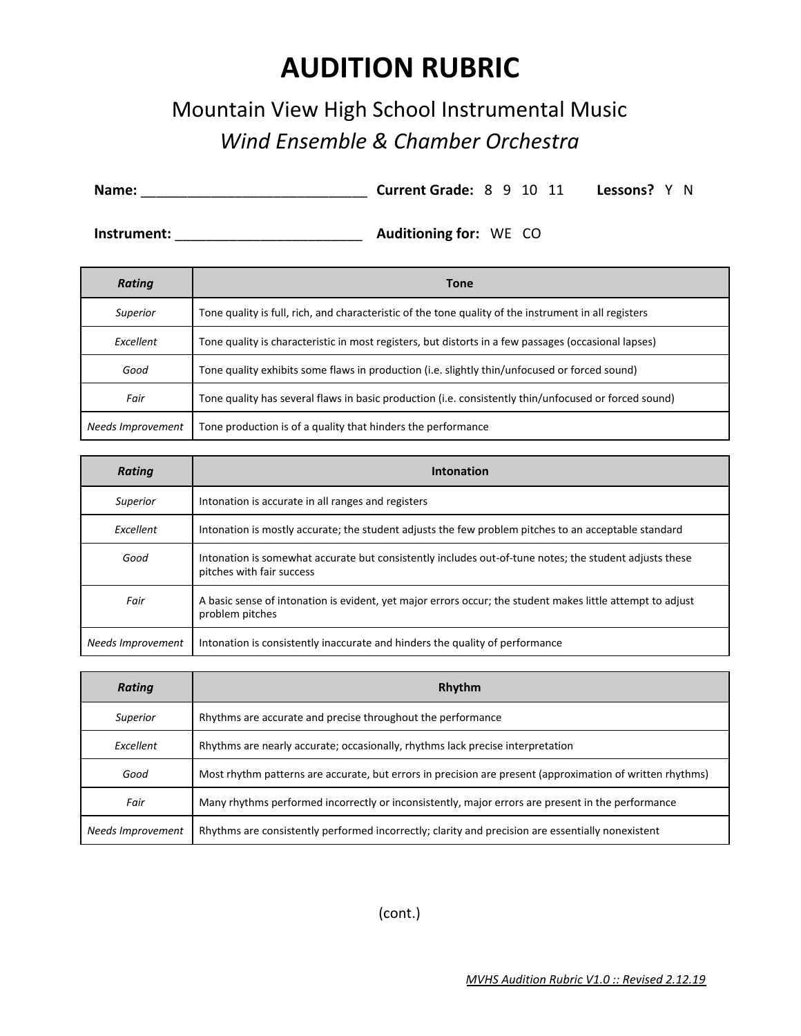## **AUDITION RUBRIC**

## Mountain View High School Instrumental Music *Wind Ensemble & Chamber Orchestra*

**Name:** \_\_\_\_\_\_\_\_\_\_\_\_\_\_\_\_\_\_\_\_\_\_\_\_\_\_\_\_\_ **Current Grade:** 8 9 10 11 **Lessons?** Y N

**Instrument:** \_\_\_\_\_\_\_\_\_\_\_\_\_\_\_\_\_\_\_\_\_\_\_\_ **Auditioning for:** WE CO

| <b>Rating</b>     | <b>Tone</b>                                                                                           |  |  |  |  |
|-------------------|-------------------------------------------------------------------------------------------------------|--|--|--|--|
| Superior          | Tone quality is full, rich, and characteristic of the tone quality of the instrument in all registers |  |  |  |  |
| Excellent         | Tone quality is characteristic in most registers, but distorts in a few passages (occasional lapses)  |  |  |  |  |
| Good              | Tone quality exhibits some flaws in production (i.e. slightly thin/unfocused or forced sound)         |  |  |  |  |
| Fair              | Tone quality has several flaws in basic production (i.e. consistently thin/unfocused or forced sound) |  |  |  |  |
| Needs Improvement | Tone production is of a quality that hinders the performance                                          |  |  |  |  |

| <b>Rating</b>     | Intonation                                                                                                                          |  |  |  |  |
|-------------------|-------------------------------------------------------------------------------------------------------------------------------------|--|--|--|--|
| Superior          | Intonation is accurate in all ranges and registers                                                                                  |  |  |  |  |
| Excellent         | Intonation is mostly accurate; the student adjusts the few problem pitches to an acceptable standard                                |  |  |  |  |
| Good              | Intonation is somewhat accurate but consistently includes out-of-tune notes; the student adjusts these<br>pitches with fair success |  |  |  |  |
| Fair              | A basic sense of intonation is evident, yet major errors occur; the student makes little attempt to adjust<br>problem pitches       |  |  |  |  |
| Needs Improvement | Intonation is consistently inaccurate and hinders the quality of performance                                                        |  |  |  |  |

| <b>Rating</b>     | Rhythm                                                                                                    |  |  |  |  |
|-------------------|-----------------------------------------------------------------------------------------------------------|--|--|--|--|
| Superior          | Rhythms are accurate and precise throughout the performance                                               |  |  |  |  |
| Excellent         | Rhythms are nearly accurate; occasionally, rhythms lack precise interpretation                            |  |  |  |  |
| Good              | Most rhythm patterns are accurate, but errors in precision are present (approximation of written rhythms) |  |  |  |  |
| Fair              | Many rhythms performed incorrectly or inconsistently, major errors are present in the performance         |  |  |  |  |
| Needs Improvement | Rhythms are consistently performed incorrectly; clarity and precision are essentially nonexistent         |  |  |  |  |

(cont.)